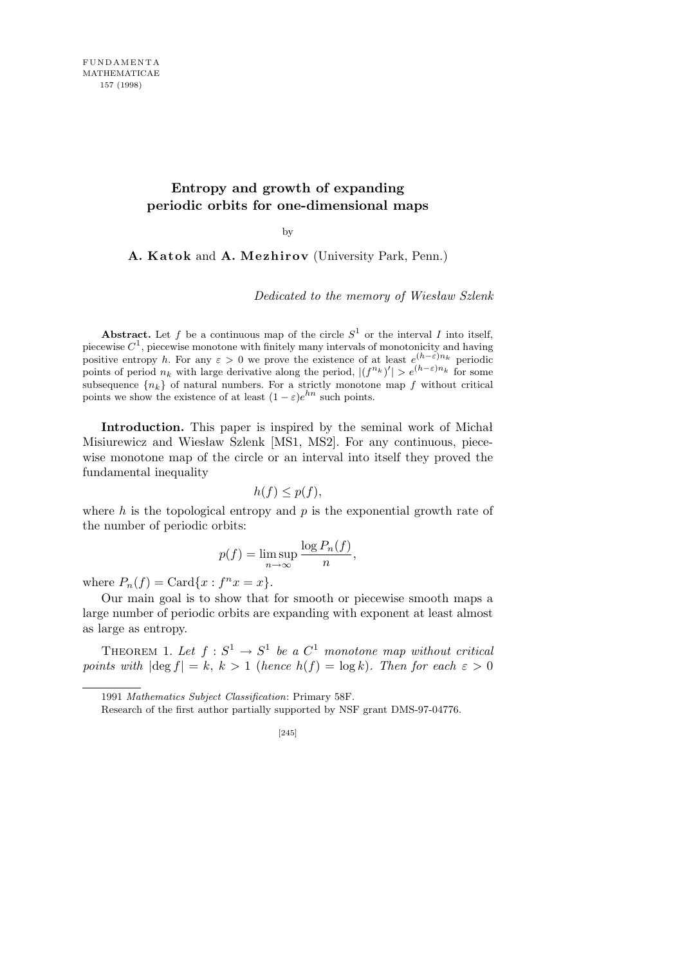## **Entropy and growth of expanding periodic orbits for one-dimensional maps**

by

A. Katok and A. Mezhirov (University Park, Penn.)

*Dedicated to the memory of Wiesław Szlenk*

**Abstract.** Let f be a continuous map of the circle  $S^1$  or the interval I into itself, piecewise *C* 1 , piecewise monotone with finitely many intervals of monotonicity and having positive entropy *h*. For any  $\varepsilon > 0$  we prove the existence of at least  $e^{(h-\varepsilon)n_k}$  periodic points of period  $n_k$  with large derivative along the period,  $|(f^{n_k})'| > e^{(h-\varepsilon)n_k}$  for some subsequence  ${n_k}$  of natural numbers. For a strictly monotone map f without critical points we show the existence of at least  $(1 - \varepsilon)e^{hn}$  such points.

**Introduction.** This paper is inspired by the seminal work of Michał Misiurewicz and Wiesław Szlenk [MS1, MS2]. For any continuous, piecewise monotone map of the circle or an interval into itself they proved the fundamental inequality

$$
h(f) \le p(f),
$$

where *h* is the topological entropy and *p* is the exponential growth rate of the number of periodic orbits:

$$
p(f) = \limsup_{n \to \infty} \frac{\log P_n(f)}{n},
$$

where  $P_n(f) = \text{Card}\{x : f^n x = x\}.$ 

Our main goal is to show that for smooth or piecewise smooth maps a large number of periodic orbits are expanding with exponent at least almost as large as entropy.

THEOREM 1. Let  $f: S^1 \to S^1$  be a  $C^1$  monotone map without critical *points with*  $|\text{deg } f| = k$ ,  $k > 1$  (*hence*  $h(f) = \log k$ ). Then for each  $\varepsilon > 0$ 

<sup>1991</sup> *Mathematics Subject Classification*: Primary 58F.

Research of the first author partially supported by NSF grant DMS-97-04776.

<sup>[245]</sup>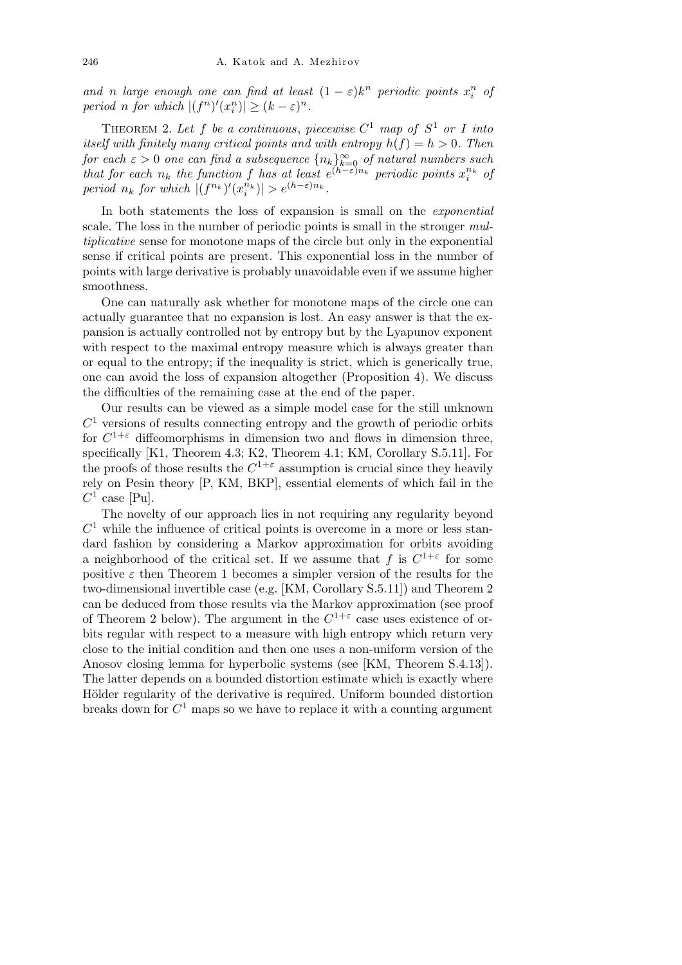*and n large enough one can find at least*  $(1 - \varepsilon)k^n$  *periodic points*  $x_i^n$  *of period n for which*  $|(f^n)'(x_i^n)| \geq (k - \varepsilon)^n$ *.* 

THEOREM 2. Let f be a continuous, piecewise  $C^1$  map of  $S^1$  or I into *itself with finitely many critical points and with entropy*  $h(f) = h > 0$ *. Then for each*  $\varepsilon > 0$  *one can find a subsequence*  $\{n_k\}_{k=0}^{\infty}$  *of natural numbers such that for each*  $n_k$  *the function f has at least*  $e^{(h-\epsilon)n_k}$  *periodic points*  $x_i^{n_k}$  *of period*  $n_k$  *for which*  $|(f^{n_k})'(x_i^{n_k})| > e^{(h-\varepsilon)n_k}$ .

In both statements the loss of expansion is small on the *exponential* scale. The loss in the number of periodic points is small in the stronger *multiplicative* sense for monotone maps of the circle but only in the exponential sense if critical points are present. This exponential loss in the number of points with large derivative is probably unavoidable even if we assume higher smoothness.

One can naturally ask whether for monotone maps of the circle one can actually guarantee that no expansion is lost. An easy answer is that the expansion is actually controlled not by entropy but by the Lyapunov exponent with respect to the maximal entropy measure which is always greater than or equal to the entropy; if the inequality is strict, which is generically true, one can avoid the loss of expansion altogether (Proposition 4). We discuss the difficulties of the remaining case at the end of the paper.

Our results can be viewed as a simple model case for the still unknown  $C<sup>1</sup>$  versions of results connecting entropy and the growth of periodic orbits for  $C^{1+\varepsilon}$  diffeomorphisms in dimension two and flows in dimension three, specifically [K1, Theorem 4.3; K2, Theorem 4.1; KM, Corollary S.5.11]. For the proofs of those results the  $C^{1+\epsilon}$  assumption is crucial since they heavily rely on Pesin theory [P, KM, BKP], essential elements of which fail in the  $C^1$  case [Pu].

The novelty of our approach lies in not requiring any regularity beyond  $C<sup>1</sup>$  while the influence of critical points is overcome in a more or less standard fashion by considering a Markov approximation for orbits avoiding a neighborhood of the critical set. If we assume that  $f$  is  $C^{1+\varepsilon}$  for some positive  $\varepsilon$  then Theorem 1 becomes a simpler version of the results for the two-dimensional invertible case (e.g. [KM, Corollary S.5.11]) and Theorem 2 can be deduced from those results via the Markov approximation (see proof of Theorem 2 below). The argument in the  $C^{1+\varepsilon}$  case uses existence of orbits regular with respect to a measure with high entropy which return very close to the initial condition and then one uses a non-uniform version of the Anosov closing lemma for hyperbolic systems (see [KM, Theorem S.4.13]). The latter depends on a bounded distortion estimate which is exactly where Hölder regularity of the derivative is required. Uniform bounded distortion breaks down for *C* <sup>1</sup> maps so we have to replace it with a counting argument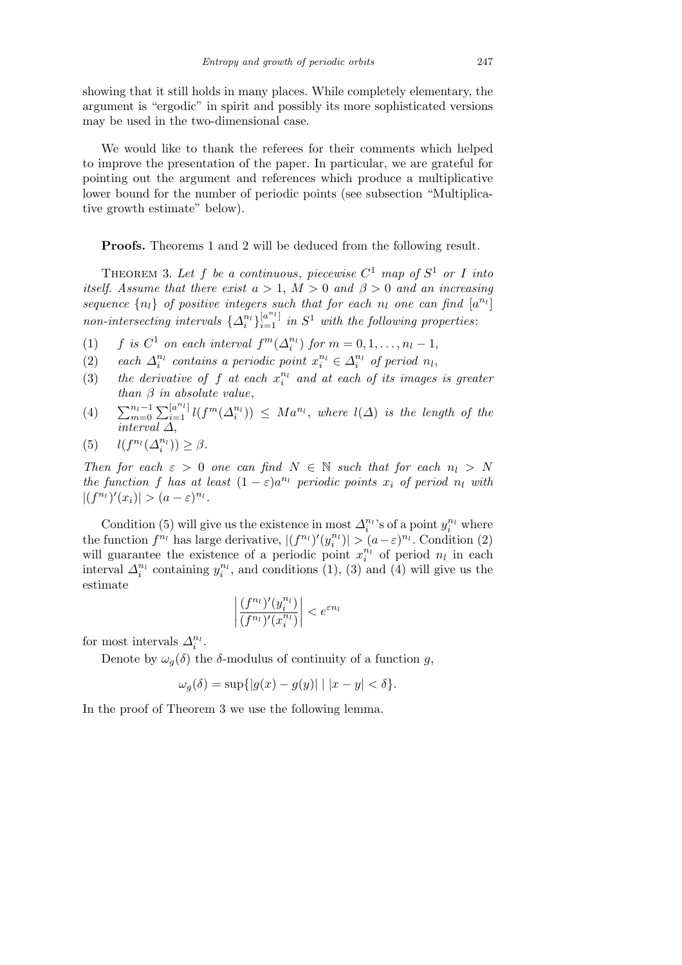showing that it still holds in many places. While completely elementary, the argument is "ergodic" in spirit and possibly its more sophisticated versions may be used in the two-dimensional case.

We would like to thank the referees for their comments which helped to improve the presentation of the paper. In particular, we are grateful for pointing out the argument and references which produce a multiplicative lower bound for the number of periodic points (see subsection "Multiplicative growth estimate" below).

**Proofs.** Theorems 1 and 2 will be deduced from the following result.

THEOREM 3. Let f be a continuous, piecewise  $C^1$  map of  $S^1$  or I into *itself.* Assume that there exist  $a > 1$ ,  $M > 0$  and  $\beta > 0$  and an increasing sequence  $\{n_l\}$  of positive integers such that for each  $n_l$  one can find  $[a^{n_l}]$  $\sum_{i=1}^{n}$  *intersecting intervals*  $\{ \Delta_i^{n_l} \}_{i=1}^{[a^{n_l}]}$  *in*  $S^1$  *with the following properties*:

- (1) *f is*  $C^1$  *on each interval*  $f^m(\Delta_i^{n_l})$  *for*  $m = 0, 1, ..., n_l 1$ ,
- (2) *each*  $\Delta_i^{n_l}$  *contains a periodic point*  $x_i^{n_l} \in \Delta_i^{n_l}$  *of period*  $n_l$ ,
- (3) the derivative of  $f$  at each  $x_i^{n_l}$  and at each of its images is greater *than β in absolute value*,
- (4)  $\sum_{m=0}^{n_l-1}$  $\sum_{i=1}^{\lfloor a^{n_l} \rfloor} l(f^m(\Delta_i^{n_l})) \leq Ma^{n_l}$ , where  $l(\Delta)$  is the length of the *interval ∆*,

$$
(5) \qquad l(f^{n_l}(\Delta_i^{n_l})) \ge \beta.
$$

*Then for each*  $\varepsilon > 0$  *one can find*  $N \in \mathbb{N}$  *such that for each*  $n_l > N$ *the function f has at least*  $(1 - \varepsilon)a^{n_l}$  *periodic points*  $x_i$  *of period*  $n_l$  *with*  $|(f^{n_l})'(x_i)| > (a - \varepsilon)^{n_l}.$ 

Condition (5) will give us the existence in most  $\Delta_i^{n_l}$ 's of a point  $y_i^{n_l}$  where the function  $f^{n_l}$  has large derivative,  $|(f^{n_l})'(y_i^{n_l})| > (a - \varepsilon)^{n_l}$ . Condition (2) will guarantee the existence of a periodic point  $x_i^{n_i}$  of period  $n_i$  in each interval  $\Delta_i^{n_l}$  containing  $y_i^{n_l}$ , and conditions (1), (3) and (4) will give us the estimate  $\overline{1}$ l,

$$
\left|\frac{(f^{n_l})'(y_i^{n_l})}{(f^{n_l})'(x_i^{n_l})}\right| < e^{\varepsilon n_l}
$$

for most intervals  $\Delta_i^{n_l}$ .

Denote by  $\omega_q(\delta)$  the  $\delta$ -modulus of continuity of a function *g*,

$$
\omega_g(\delta) = \sup\{|g(x) - g(y)| \mid |x - y| < \delta\}.
$$

In the proof of Theorem 3 we use the following lemma.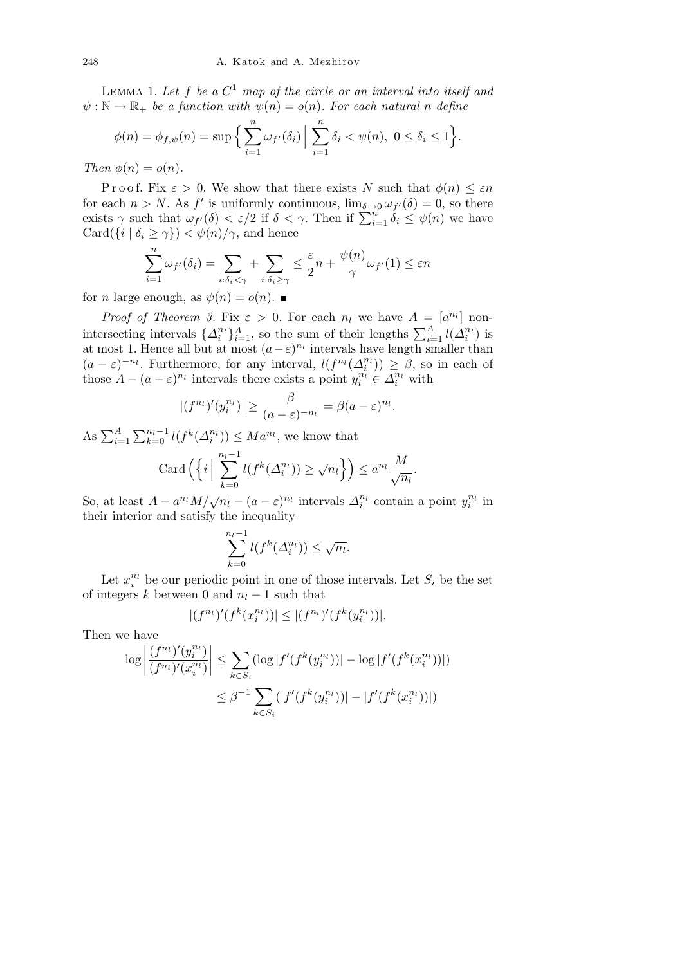Lemma 1. *Let f be a C* <sup>1</sup> *map of the circle or an interval into itself and*  $\psi : \mathbb{N} \to \mathbb{R}_+$  *be a function with*  $\psi(n) = o(n)$ *. For each natural n define* 

$$
\phi(n) = \phi_{f,\psi}(n) = \sup \Big\{ \sum_{i=1}^n \omega_{f'}(\delta_i) \Big| \sum_{i=1}^n \delta_i < \psi(n), \ 0 \le \delta_i \le 1 \Big\}
$$

*.*

*Then*  $\phi(n) = o(n)$ *.* 

Proof. Fix  $\varepsilon > 0$ . We show that there exists *N* such that  $\phi(n) \leq \varepsilon n$ for each  $n > N$ . As  $f'$  is uniformly continuous,  $\lim_{\delta \to 0} \omega_{f'}(\delta) = 0$ , so there lor each *n* > *N*. As *J* is unnormly continuous,  $\lim_{\delta \to 0} ω_f(0) = 0$ , so there exists γ such that  $ω_f(δ) < ε/2$  if  $δ < γ$ . Then if  $\sum_{i=1}^n δ_i ≤ ψ(n)$  we have  $Card({i | \delta_i \geq \gamma}) < \psi(n)/\gamma$ , and hence

$$
\sum_{i=1}^{n} \omega_{f'}(\delta_i) = \sum_{i:\delta_i < \gamma} \sum_{i:\delta_i \ge \gamma} \le \frac{\varepsilon}{2}n + \frac{\psi(n)}{\gamma} \omega_{f'}(1) \le \varepsilon n
$$

for *n* large enough, as  $\psi(n) = o(n)$ .

*Proof of Theorem 3.* Fix  $\varepsilon > 0$ . For each  $n_l$  we have  $A = [a^{n_l}]$  nonintersecting intervals  $\{\Delta_i^{n_l}\}_{i=1}^A$ , so the sum of their lengths  $\sum_{i=1}^A l(\Delta_i^{n_l})$  is at most 1. Hence all but at most  $(a - \varepsilon)^{n_l}$  intervals have length smaller than  $(a - \varepsilon)^{-n_l}$ . Furthermore, for any interval,  $l(f^{n_l}(\Delta_i^{n_l})) \geq \beta$ , so in each of those  $A - (a - \varepsilon)^{n_l}$  intervals there exists a point  $y_i^{n_l} \in \Delta_i^{n_l}$  with

$$
|(f^{n_l})'(y_i^{n_l})| \geq \frac{\beta}{(a-\varepsilon)^{-n_l}} = \beta(a-\varepsilon)^{n_l}.
$$

As  $\sum_{i=1}^{A}$  $\nabla^{n_l-1}$  $\sum_{k=0}^{n_l-1} l(f^k(\Delta_i^{n_l})) \leq Ma^{n_l}$ , we know that  $\operatorname{Card}(\left\{i\right\})$ *n*<sub>*l*</sub><sup>*−*1</sup> *k*=0  $l(f^k(\Delta_i^{n_l})) \geq \sqrt{n_l}$  $\mathbf{v}$  $\leq a^{n_l} \frac{M}{\sqrt{n_l}}$ .

So, at least  $A - a^{n_l} M / \sqrt{n_l} - (a - \varepsilon)^{n_l}$  intervals  $\Delta_i^{n_l}$  contain a point  $y_i^{n_l}$  in their interior and satisfy the inequality

$$
\sum_{k=0}^{n_l-1} l(f^k(\Delta_i^{n_l})) \le \sqrt{n_l}.
$$

Let  $x_i^{n_l}$  be our periodic point in one of those intervals. Let  $S_i$  be the set of integers  $k$  between 0 and  $n_l - 1$  such that

$$
|(f^{n_l})'(f^k(x_i^{n_l}))| \le |(f^{n_l})'(f^k(y_i^{n_l}))|.
$$

Then we have

$$
\log \left| \frac{(f^{n_l})'(y_i^{n_l})}{(f^{n_l})'(x_i^{n_l})} \right| \le \sum_{k \in S_i} (\log |f'(f^k(y_i^{n_l}))| - \log |f'(f^k(x_i^{n_l}))|)
$$
  

$$
\le \beta^{-1} \sum_{k \in S_i} (|f'(f^k(y_i^{n_l}))| - |f'(f^k(x_i^{n_l}))|)
$$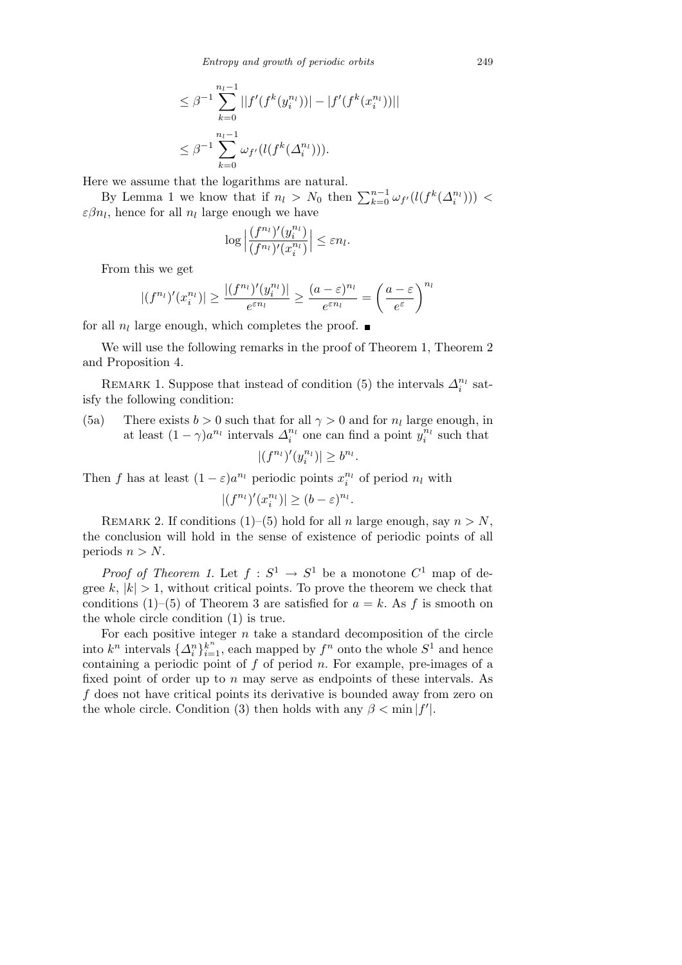*Entropy and growth of periodic orbits* 249

$$
\leq \beta^{-1} \sum_{k=0}^{n_l-1} ||f'(f^k(y_i^{n_l}))| - |f'(f^k(x_i^{n_l}))||
$$
  

$$
\leq \beta^{-1} \sum_{k=0}^{n_l-1} \omega_{f'}(l(f^k(\Delta_i^{n_l}))).
$$

Here we assume that the logarithms are natural.

By Lemma 1 we know that if  $n_l > N_0$  then  $\sum_{k=0}^{n-1} \omega_{f'}(l(f^k(\Delta_i^{n_l})))$  <  $\varepsilon \beta n_l$ , hence for all  $n_l$  large enough we have

$$
\log \left| \frac{(f^{n_l})'(y_i^{n_l})}{(f^{n_l})'(x_i^{n_l})} \right| \leq \varepsilon n_l.
$$

From this we get

$$
|(f^{n_l})'(x_i^{n_l})| \ge \frac{|(f^{n_l})'(y_i^{n_l})|}{e^{\varepsilon n_l}} \ge \frac{(a-\varepsilon)^{n_l}}{e^{\varepsilon n_l}} = \left(\frac{a-\varepsilon}{e^{\varepsilon}}\right)^{n_l}
$$

for all  $n_l$  large enough, which completes the proof.

We will use the following remarks in the proof of Theorem 1, Theorem 2 and Proposition 4.

REMARK 1. Suppose that instead of condition (5) the intervals  $\Delta_i^{n_l}$  satisfy the following condition:

(5a) There exists  $b > 0$  such that for all  $\gamma > 0$  and for  $n_l$  large enough, in at least  $(1 - \gamma)a^{n_l}$  intervals  $\Delta_i^{n_l}$  one can find a point  $y_i^{n_l}$  such that

$$
|(f^{n_l})'(y_i^{n_l})| \ge b^{n_l}.
$$

Then *f* has at least  $(1 - \varepsilon)a^{n_l}$  periodic points  $x_i^{n_l}$  of period  $n_l$  with

$$
|(f^{n_l})'(x_i^{n_l})| \ge (b - \varepsilon)^{n_l}.
$$

REMARK 2. If conditions (1)–(5) hold for all *n* large enough, say  $n > N$ , the conclusion will hold in the sense of existence of periodic points of all periods  $n > N$ .

*Proof of Theorem 1.* Let  $f: S^1 \to S^1$  be a monotone  $C^1$  map of degree  $k, |k| > 1$ , without critical points. To prove the theorem we check that conditions (1)–(5) of Theorem 3 are satisfied for  $a = k$ . As f is smooth on the whole circle condition (1) is true.

For each positive integer *n* take a standard decomposition of the circle into  $k^n$  intervals  $\{\Delta_i^n\}_{i=1}^k$ , each mapped by  $f^n$  onto the whole  $S^1$  and hence containing a periodic point of *f* of period *n*. For example, pre-images of a fixed point of order up to *n* may serve as endpoints of these intervals. As *f* does not have critical points its derivative is bounded away from zero on the whole circle. Condition (3) then holds with any  $\beta < \min |f'|$ .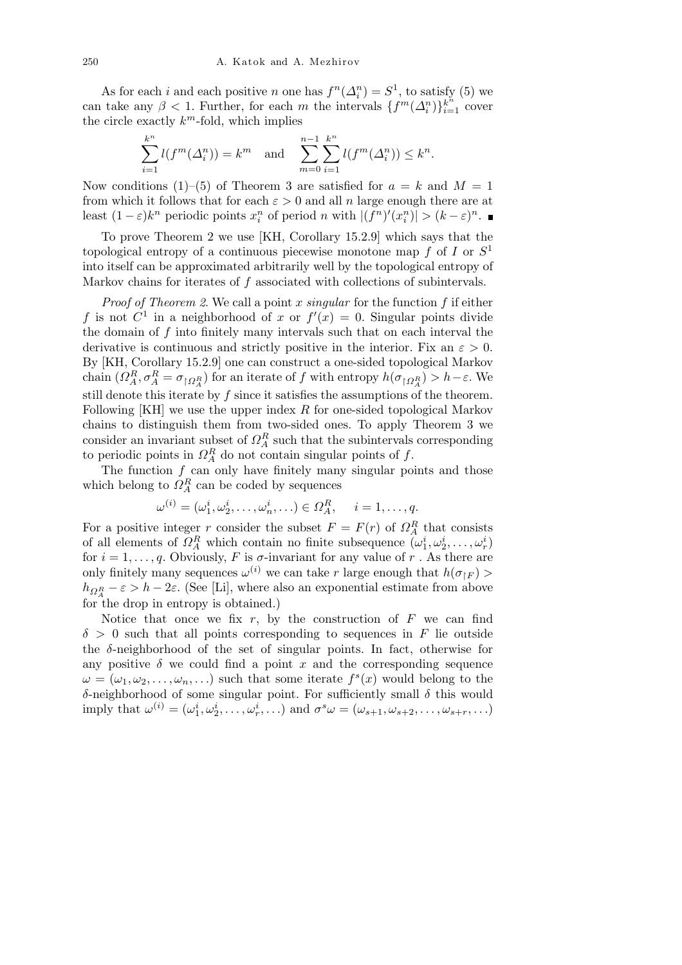As for each *i* and each positive *n* one has  $f^{n}(\Delta_{i}^{n}) = S^{1}$ , to satisfy (5) we can take any  $\beta < 1$ . Further, for each *m* the intervals  $\{f^m(\Delta_i^n)\}_{i=1}^{\kappa^n}$  cover the circle exactly *k <sup>m</sup>*-fold, which implies

$$
\sum_{i=1}^{k^n} l(f^m(\Delta_i^n)) = k^m \text{ and } \sum_{m=0}^{n-1} \sum_{i=1}^{k^n} l(f^m(\Delta_i^n)) \le k^n.
$$

Now conditions (1)–(5) of Theorem 3 are satisfied for  $a = k$  and  $M = 1$ from which it follows that for each  $\varepsilon > 0$  and all *n* large enough there are at least  $(1-\varepsilon)k^n$  periodic points  $x_i^n$  of period n with  $|(f^n)'(x_i^n)| > (k-\varepsilon)^n$ .

To prove Theorem 2 we use [KH, Corollary 15.2.9] which says that the topological entropy of a continuous piecewise monotone map *f* of *I* or *S* 1 into itself can be approximated arbitrarily well by the topological entropy of Markov chains for iterates of *f* associated with collections of subintervals.

*Proof of Theorem 2*. We call a point *x singular* for the function *f* if either f is not  $C^1$  in a neighborhood of x or  $f'(x) = 0$ . Singular points divide the domain of *f* into finitely many intervals such that on each interval the derivative is continuous and strictly positive in the interior. Fix an  $\varepsilon > 0$ . By [KH, Corollary 15.2.9] one can construct a one-sided topological Markov chain  $(\Omega_A^R, \sigma_A^R = \sigma_{\restriction \Omega_A^R})$  for an iterate of *f* with entropy  $h(\sigma_{\restriction \Omega_A^R}) > h - \varepsilon$ . We still denote this iterate by *f* since it satisfies the assumptions of the theorem. Following [KH] we use the upper index *R* for one-sided topological Markov chains to distinguish them from two-sided ones. To apply Theorem 3 we consider an invariant subset of  $\Omega_A^R$  such that the subintervals corresponding to periodic points in  $\Omega_A^R$  do not contain singular points of  $f$ .

The function  $f$  can only have finitely many singular points and those which belong to  $\Omega_A^R$  can be coded by sequences

$$
\omega^{(i)}=(\omega_1^i,\omega_2^i,\ldots,\omega_n^i,\ldots)\in\varOmega_A^R,\quad \ i=1,\ldots,q.
$$

For a positive integer *r* consider the subset  $F = F(r)$  of  $\Omega_A^R$  that consists of all elements of  $\Omega_A^R$  which contain no finite subsequence  $(\omega_1^i, \omega_2^i, \ldots, \omega_r^i)$ for  $i = 1, \ldots, q$ . Obviously, *F* is *σ*-invariant for any value of *r*. As there are only finitely many sequences  $\omega^{(i)}$  we can take *r* large enough that  $h(\sigma_{\upharpoonright F})$  >  $h_{\Omega_A^R} - \varepsilon > h - 2\varepsilon$ . (See [Li], where also an exponential estimate from above for the drop in entropy is obtained.)

Notice that once we fix  $r$ , by the construction of  $F$  we can find *δ >* 0 such that all points corresponding to sequences in *F* lie outside the  $\delta$ -neighborhood of the set of singular points. In fact, otherwise for any positive  $\delta$  we could find a point  $x$  and the corresponding sequence  $\omega = (\omega_1, \omega_2, \dots, \omega_n, \dots)$  such that some iterate  $f^s(x)$  would belong to the *δ*-neighborhood of some singular point. For sufficiently small *δ* this would imply that  $\omega^{(i)} = (\omega_1^i, \omega_2^i, \dots, \omega_r^i, \dots)$  and  $\sigma^s \omega = (\omega_{s+1}, \omega_{s+2}, \dots, \omega_{s+r}, \dots)$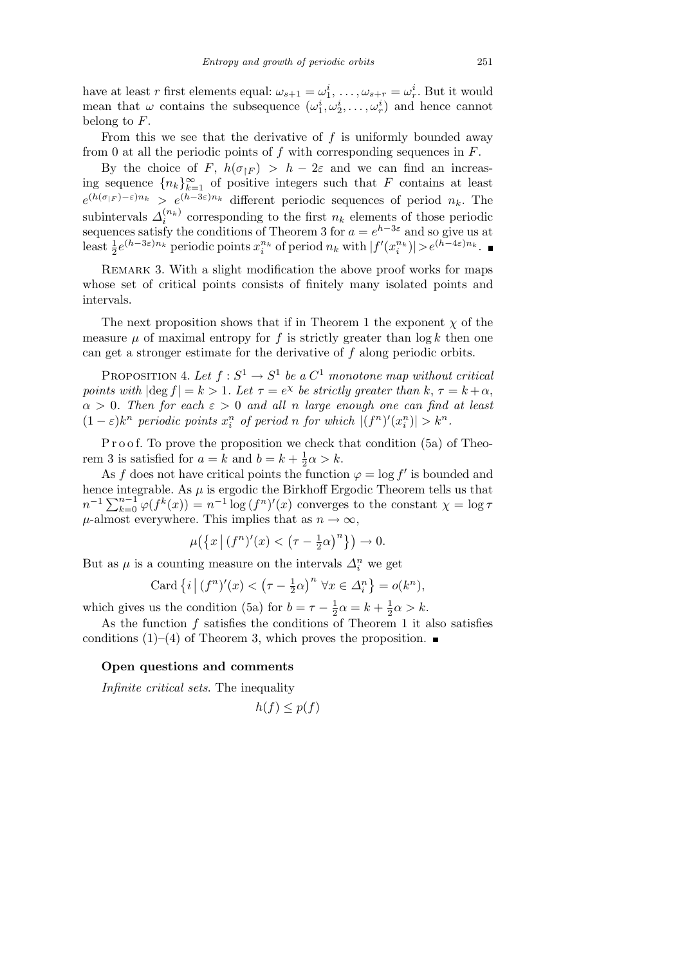have at least *r* first elements equal:  $\omega_{s+1} = \omega_1^i, \ldots, \omega_{s+r} = \omega_r^i$ . But it would mean that  $\omega$  contains the subsequence  $(\omega_1^i, \omega_2^i, \ldots, \omega_r^i)$  and hence cannot belong to *F*.

From this we see that the derivative of *f* is uniformly bounded away from 0 at all the periodic points of *f* with corresponding sequences in *F*.

By the choice of *F*,  $h(\sigma_{\upharpoonright F}) > h - 2\varepsilon$  and we can find an increasing sequence  ${n_k}_{k=1}^{\infty}$  of positive integers such that *F* contains at least  $e^{(h(\sigma_{|F})-\varepsilon)n_k} > e^{(h-3\varepsilon)n_k}$  different periodic sequences of period  $n_k$ . The subintervals  $\Delta_i^{(n_k)}$  corresponding to the first  $n_k$  elements of those periodic sequences satisfy the conditions of Theorem 3 for  $a = e^{h-3\varepsilon}$  and so give us at least  $\frac{1}{2}e^{(h-3\varepsilon)n_k}$  periodic points  $x_i^{n_k}$  of period  $n_k$  with  $|f'(x_i^{n_k})|>e^{(h-4\varepsilon)n_k}$ .

REMARK 3. With a slight modification the above proof works for maps whose set of critical points consists of finitely many isolated points and intervals.

The next proposition shows that if in Theorem 1 the exponent  $\chi$  of the measure  $\mu$  of maximal entropy for  $f$  is strictly greater than  $\log k$  then one can get a stronger estimate for the derivative of *f* along periodic orbits.

PROPOSITION 4. Let  $f : S^1 \to S^1$  be a  $C^1$  monotone map without critical *points with*  $|\text{deg } f| = k > 1$ *. Let*  $\tau = e^{\chi}$  *be strictly greater than*  $k, \tau = k + \alpha$ , *α >* 0*. Then for each ε >* 0 *and all n large enough one can find at least*  $(1-\varepsilon)k^n$  periodic points  $x_i^n$  of period n for which  $|(f^n)'(x_i^n)| > k^n$ .

P r o o f. To prove the proposition we check that condition (5a) of Theorem 3 is satisfied for  $a = k$  and  $b = k + \frac{1}{2}$  $\frac{1}{2}\alpha > k.$ 

As *f* does not have critical points the function  $\varphi = \log f'$  is bounded and hence integrable. As  $\mu$  is ergodic the Birkhoff Ergodic Theorem tells us that *n*<sup>−1</sup>  $\sum_{k=0}^{n-1} \varphi(f^k(x)) = n^{-1} \log (f^n)'(x)$  converges to the constant  $\chi = \log \tau$  $\mu$ -almost everywhere. This implies that as  $n \to \infty$ ,

$$
\mu\big(\big\{x\,\big|\,(f^n)'(x) < \big(\tau - \frac{1}{2}\alpha\big)^n\big\}\big) \to 0.
$$

But as  $\mu$  is a counting measure on the intervals  $\Delta_i^n$  we get

Card 
$$
\{i \mid (f^n)'(x) < (\tau - \frac{1}{2}\alpha)^n \ \forall x \in \Delta_i^n\} = o(k^n),
$$

which gives us the condition (5a) for  $b = \tau - \frac{1}{2}$  $\frac{1}{2} \alpha = k + \frac{1}{2}$  $\frac{1}{2}\alpha > k.$ 

As the function *f* satisfies the conditions of Theorem 1 it also satisfies conditions (1)–(4) of Theorem 3, which proves the proposition.  $\blacksquare$ 

## **Open questions and comments**

*Infinite critical sets*. The inequality

$$
h(f) \le p(f)
$$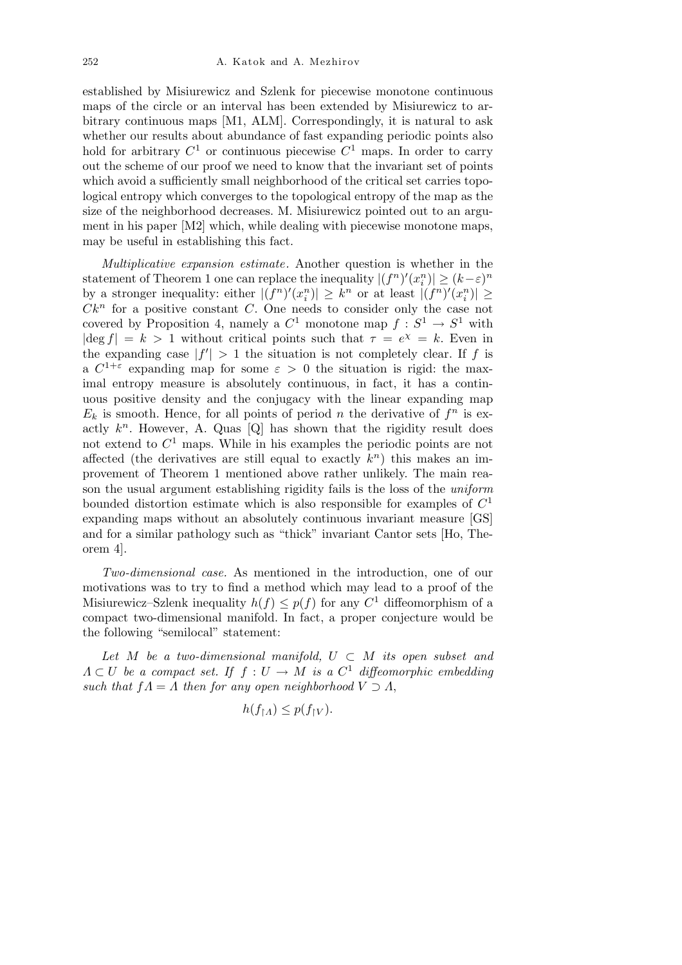established by Misiurewicz and Szlenk for piecewise monotone continuous maps of the circle or an interval has been extended by Misiurewicz to arbitrary continuous maps [M1, ALM]. Correspondingly, it is natural to ask whether our results about abundance of fast expanding periodic points also hold for arbitrary  $C^1$  or continuous piecewise  $C^1$  maps. In order to carry out the scheme of our proof we need to know that the invariant set of points which avoid a sufficiently small neighborhood of the critical set carries topological entropy which converges to the topological entropy of the map as the size of the neighborhood decreases. M. Misiurewicz pointed out to an argument in his paper [M2] which, while dealing with piecewise monotone maps, may be useful in establishing this fact.

*Multiplicative expansion estimate.* Another question is whether in the statement of Theorem 1 one can replace the inequality  $|(f^n)'(x_i^n)| \geq (k - \varepsilon)^n$ by a stronger inequality: either  $|(f^n)'(x_i^n)| \geq k^n$  or at least  $|(f^n)'(x_i^n)| \geq$  $Ck^n$  for a positive constant *C*. One needs to consider only the case not covered by Proposition 4, namely a  $C^1$  monotone map  $f : S^1 \to S^1$  with  $|\deg f| = k > 1$  without critical points such that  $\tau = e^{\chi} = k$ . Even in the expanding case  $|f'| > 1$  the situation is not completely clear. If *f* is a  $C^{1+\varepsilon}$  expanding map for some  $\varepsilon > 0$  the situation is rigid: the maximal entropy measure is absolutely continuous, in fact, it has a continuous positive density and the conjugacy with the linear expanding map  $E_k$  is smooth. Hence, for all points of period *n* the derivative of  $f^n$  is exactly  $k^n$ . However, A. Quas  $[Q]$  has shown that the rigidity result does not extend to *C* <sup>1</sup> maps. While in his examples the periodic points are not affected (the derivatives are still equal to exactly  $k^n$ ) this makes an improvement of Theorem 1 mentioned above rather unlikely. The main reason the usual argument establishing rigidity fails is the loss of the *uniform* bounded distortion estimate which is also responsible for examples of *C* 1 expanding maps without an absolutely continuous invariant measure [GS] and for a similar pathology such as "thick" invariant Cantor sets [Ho, Theorem 4].

*Two-dimensional case.* As mentioned in the introduction, one of our motivations was to try to find a method which may lead to a proof of the Misiurewicz–Szlenk inequality  $h(f) \leq p(f)$  for any  $C^1$  diffeomorphism of a compact two-dimensional manifold. In fact, a proper conjecture would be the following "semilocal" statement:

Let  $M$  be a two-dimensional manifold,  $U \subset M$  its open subset and  $\Lambda \subset U$  *be a compact set. If*  $f: U \to M$  *is a*  $C^1$  *diffeomorphic embedding such that*  $fA = A$  *then for any open neighborhood*  $V \supset A$ ,

$$
h(f_{\restriction A}) \leq p(f_{\restriction V}).
$$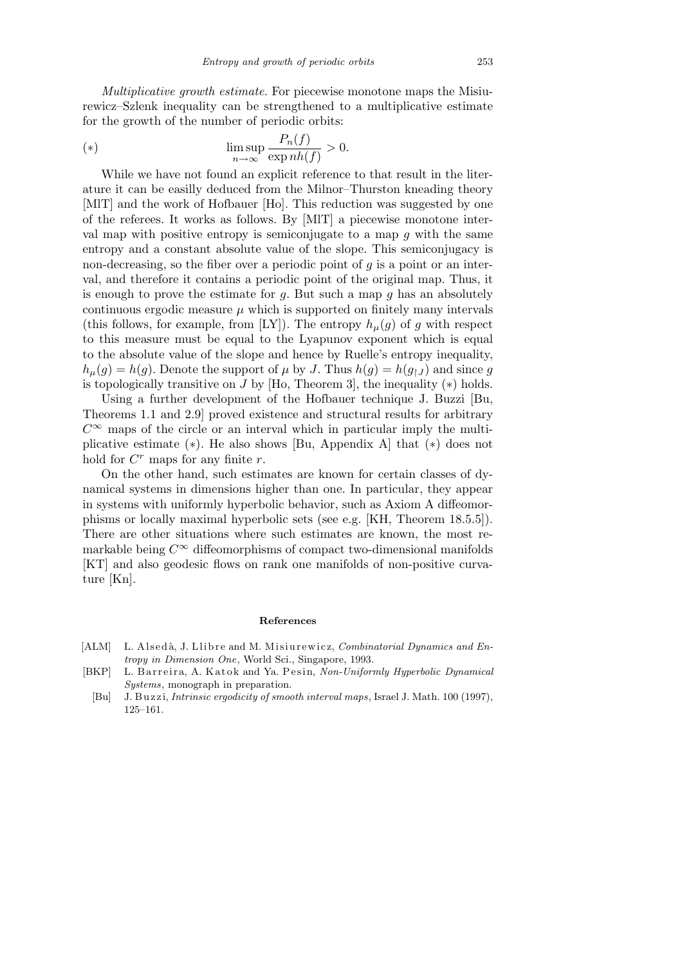*Multiplicative growth estimate.* For piecewise monotone maps the Misiurewicz–Szlenk inequality can be strengthened to a multiplicative estimate for the growth of the number of periodic orbits:

(\*) 
$$
\limsup_{n \to \infty} \frac{P_n(f)}{\exp nh(f)} > 0.
$$

While we have not found an explicit reference to that result in the literature it can be easilly deduced from the Milnor–Thurston kneading theory [MlT] and the work of Hofbauer [Ho]. This reduction was suggested by one of the referees. It works as follows. By [MlT] a piecewise monotone interval map with positive entropy is semiconjugate to a map *g* with the same entropy and a constant absolute value of the slope. This semiconjugacy is non-decreasing, so the fiber over a periodic point of *g* is a point or an interval, and therefore it contains a periodic point of the original map. Thus, it is enough to prove the estimate for *g*. But such a map *g* has an absolutely continuous ergodic measure  $\mu$  which is supported on finitely many intervals (this follows, for example, from [LY]). The entropy  $h_{\mu}(q)$  of *g* with respect to this measure must be equal to the Lyapunov exponent which is equal to the absolute value of the slope and hence by Ruelle's entropy inequality,  $h_{\mu}(g) = h(g)$ . Denote the support of  $\mu$  by *J*. Thus  $h(g) = h(g_{\uparrow}g)$  and since *g* is topologically transitive on *J* by [Ho, Theorem 3], the inequality (*∗*) holds.

Using a further development of the Hofbauer technique J. Buzzi [Bu, Theorems 1.1 and 2.9] proved existence and structural results for arbitrary  $C^{\infty}$  maps of the circle or an interval which in particular imply the multiplicative estimate (*∗*). He also shows [Bu, Appendix A] that (*∗*) does not hold for  $C^r$  maps for any finite  $r$ .

On the other hand, such estimates are known for certain classes of dynamical systems in dimensions higher than one. In particular, they appear in systems with uniformly hyperbolic behavior, such as Axiom A diffeomorphisms or locally maximal hyperbolic sets (see e.g. [KH, Theorem 18.5.5]). There are other situations where such estimates are known, the most remarkable being  $C^{\infty}$  diffeomorphisms of compact two-dimensional manifolds [KT] and also geodesic flows on rank one manifolds of non-positive curvature [Kn].

## **References**

- [ALM] L. Alsedà, J. Llibre and M. Misiurewicz, *Combinatorial Dynamics and Entropy in Dimension One*, World Sci., Singapore, 1993.
- [BKP] L. Barreira, A. Katok and Ya. Pesin, *Non-Uniformly Hyperbolic Dynamical Systems*, monograph in preparation.
- [Bu] J. B u z zi, *Intrinsic ergodicity of smooth interval maps*, Israel J. Math. 100 (1997), 125–161.